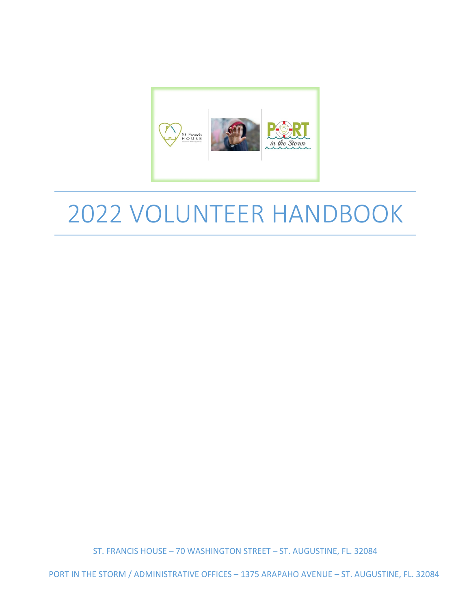

# 2022 VOLUNTEER HANDBOOK

ST. FRANCIS HOUSE – 70 WASHINGTON STREET – ST. AUGUSTINE, FL. 32084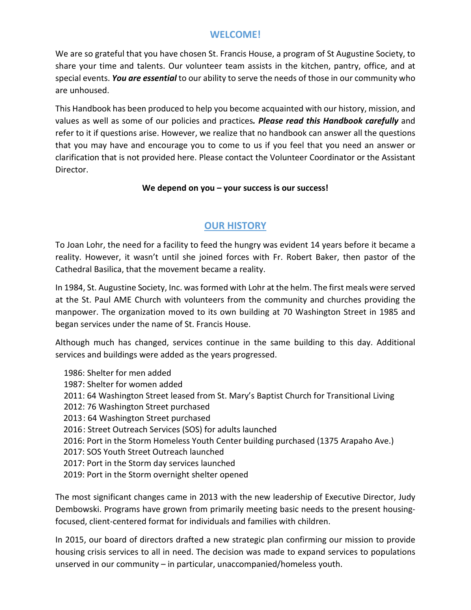## **WELCOME!**

We are so grateful that you have chosen St. Francis House, a program of St Augustine Society, to share your time and talents. Our volunteer team assists in the kitchen, pantry, office, and at special events. *You are essential* to our ability to serve the needs of those in our community who are unhoused.

This Handbook has been produced to help you become acquainted with our history, mission, and values as well as some of our policies and practices*. Please read this Handbook carefully* and refer to it if questions arise. However, we realize that no handbook can answer all the questions that you may have and encourage you to come to us if you feel that you need an answer or clarification that is not provided here. Please contact the Volunteer Coordinator or the Assistant Director.

#### **We depend on you – your success is our success!**

## **OUR HISTORY**

To Joan Lohr, the need for a facility to feed the hungry was evident 14 years before it became a reality. However, it wasn't until she joined forces with Fr. Robert Baker, then pastor of the Cathedral Basilica, that the movement became a reality.

In 1984, St. Augustine Society, Inc. was formed with Lohr at the helm. The first meals were served at the St. Paul AME Church with volunteers from the community and churches providing the manpower. The organization moved to its own building at 70 Washington Street in 1985 and began services under the name of St. Francis House.

Although much has changed, services continue in the same building to this day. Additional services and buildings were added as the years progressed.

- 1986: Shelter for men added
- 1987: Shelter for women added
- 2011: 64 Washington Street leased from St. Mary's Baptist Church for Transitional Living
- 2012: 76 Washington Street purchased
- 2013: 64 Washington Street purchased
- 2016: Street Outreach Services (SOS) for adults launched
- 2016: Port in the Storm Homeless Youth Center building purchased (1375 Arapaho Ave.)
- 2017: SOS Youth Street Outreach launched
- 2017: Port in the Storm day services launched
- 2019: Port in the Storm overnight shelter opened

The most significant changes came in 2013 with the new leadership of Executive Director, Judy Dembowski. Programs have grown from primarily meeting basic needs to the present housingfocused, client-centered format for individuals and families with children.

In 2015, our board of directors drafted a new strategic plan confirming our mission to provide housing crisis services to all in need. The decision was made to expand services to populations unserved in our community – in particular, unaccompanied/homeless youth.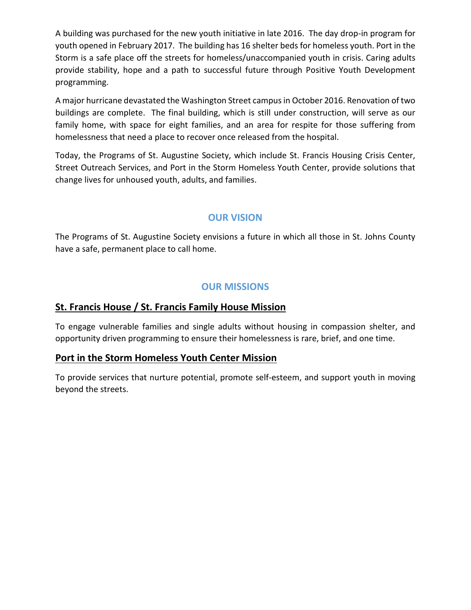A building was purchased for the new youth initiative in late 2016. The day drop-in program for youth opened in February 2017. The building has 16 shelter beds for homeless youth. Port in the Storm is a safe place off the streets for homeless/unaccompanied youth in crisis. Caring adults provide stability, hope and a path to successful future through Positive Youth Development programming.

A major hurricane devastated the Washington Street campus in October 2016. Renovation of two buildings are complete. The final building, which is still under construction, will serve as our family home, with space for eight families, and an area for respite for those suffering from homelessness that need a place to recover once released from the hospital.

Today, the Programs of St. Augustine Society, which include St. Francis Housing Crisis Center, Street Outreach Services, and Port in the Storm Homeless Youth Center, provide solutions that change lives for unhoused youth, adults, and families.

## **OUR VISION**

The Programs of St. Augustine Society envisions a future in which all those in St. Johns County have a safe, permanent place to call home.

## **OUR MISSIONS**

#### **St. Francis House / St. Francis Family House Mission**

To engage vulnerable families and single adults without housing in compassion shelter, and opportunity driven programming to ensure their homelessness is rare, brief, and one time.

#### **Port in the Storm Homeless Youth Center Mission**

To provide services that nurture potential, promote self-esteem, and support youth in moving beyond the streets.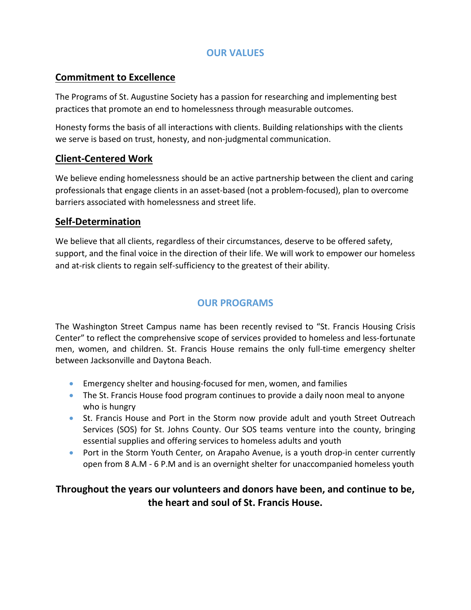## **OUR VALUES**

## **Commitment to Excellence**

The Programs of St. Augustine Society has a passion for researching and implementing best practices that promote an end to homelessness through measurable outcomes.

Honesty forms the basis of all interactions with clients. Building relationships with the clients we serve is based on trust, honesty, and non-judgmental communication.

## **Client-Centered Work**

We believe ending homelessness should be an active partnership between the client and caring professionals that engage clients in an asset-based (not a problem-focused), plan to overcome barriers associated with homelessness and street life.

## **Self-Determination**

We believe that all clients, regardless of their circumstances, deserve to be offered safety, support, and the final voice in the direction of their life. We will work to empower our homeless and at-risk clients to regain self-sufficiency to the greatest of their ability.

## **OUR PROGRAMS**

The Washington Street Campus name has been recently revised to "St. Francis Housing Crisis Center" to reflect the comprehensive scope of services provided to homeless and less-fortunate men, women, and children. St. Francis House remains the only full-time emergency shelter between Jacksonville and Daytona Beach.

- Emergency shelter and housing-focused for men, women, and families
- The St. Francis House food program continues to provide a daily noon meal to anyone who is hungry
- St. Francis House and Port in the Storm now provide adult and youth Street Outreach Services (SOS) for St. Johns County. Our SOS teams venture into the county, bringing essential supplies and offering services to homeless adults and youth
- Port in the Storm Youth Center*,* on Arapaho Avenue, is a youth drop-in center currently open from 8 A.M - 6 P.M and is an overnight shelter for unaccompanied homeless youth

# **Throughout the years our volunteers and donors have been, and continue to be, the heart and soul of St. Francis House.**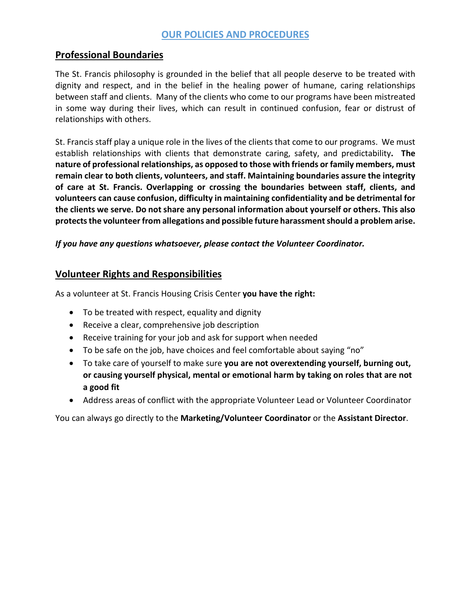## **OUR POLICIES AND PROCEDURES**

#### **Professional Boundaries**

The St. Francis philosophy is grounded in the belief that all people deserve to be treated with dignity and respect, and in the belief in the healing power of humane, caring relationships between staff and clients. Many of the clients who come to our programs have been mistreated in some way during their lives, which can result in continued confusion, fear or distrust of relationships with others.

St. Francis staff play a unique role in the lives of the clients that come to our programs. We must establish relationships with clients that demonstrate caring, safety, and predictability**. The nature of professional relationships, as opposed to those with friends or family members, must remain clear to both clients, volunteers, and staff. Maintaining boundaries assure the integrity of care at St. Francis. Overlapping or crossing the boundaries between staff, clients, and volunteers can cause confusion, difficulty in maintaining confidentiality and be detrimental for the clients we serve. Do not share any personal information about yourself or others. This also protects the volunteer from allegations and possible future harassment should a problem arise.**

*If you have any questions whatsoever, please contact the Volunteer Coordinator.*

#### **Volunteer Rights and Responsibilities**

As a volunteer at St. Francis Housing Crisis Center **you have the right:**

- To be treated with respect, equality and dignity
- Receive a clear, comprehensive job description
- Receive training for your job and ask for support when needed
- To be safe on the job, have choices and feel comfortable about saying "no"
- To take care of yourself to make sure **you are not overextending yourself, burning out, or causing yourself physical, mental or emotional harm by taking on roles that are not a good fit**
- Address areas of conflict with the appropriate Volunteer Lead or Volunteer Coordinator

You can always go directly to the **Marketing/Volunteer Coordinator** or the **Assistant Director**.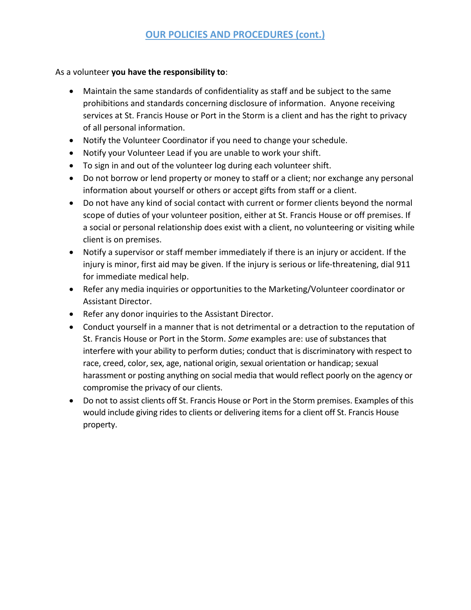As a volunteer **you have the responsibility to**:

- Maintain the same standards of confidentiality as staff and be subject to the same prohibitions and standards concerning disclosure of information. Anyone receiving services at St. Francis House or Port in the Storm is a client and has the right to privacy of all personal information.
- Notify the Volunteer Coordinator if you need to change your schedule.
- Notify your Volunteer Lead if you are unable to work your shift.
- To sign in and out of the volunteer log during each volunteer shift.
- Do not borrow or lend property or money to staff or a client; nor exchange any personal information about yourself or others or accept gifts from staff or a client.
- Do not have any kind of social contact with current or former clients beyond the normal scope of duties of your volunteer position, either at St. Francis House or off premises. If a social or personal relationship does exist with a client, no volunteering or visiting while client is on premises.
- Notify a supervisor or staff member immediately if there is an injury or accident. If the injury is minor, first aid may be given. If the injury is serious or life-threatening, dial 911 for immediate medical help.
- Refer any media inquiries or opportunities to the Marketing/Volunteer coordinator or Assistant Director.
- Refer any donor inquiries to the Assistant Director.
- Conduct yourself in a manner that is not detrimental or a detraction to the reputation of St. Francis House or Port in the Storm. *Some* examples are: use of substances that interfere with your ability to perform duties; conduct that is discriminatory with respect to race, creed, color, sex, age, national origin, sexual orientation or handicap; sexual harassment or posting anything on social media that would reflect poorly on the agency or compromise the privacy of our clients.
- Do not to assist clients off St. Francis House or Port in the Storm premises. Examples of this would include giving rides to clients or delivering items for a client off St. Francis House property.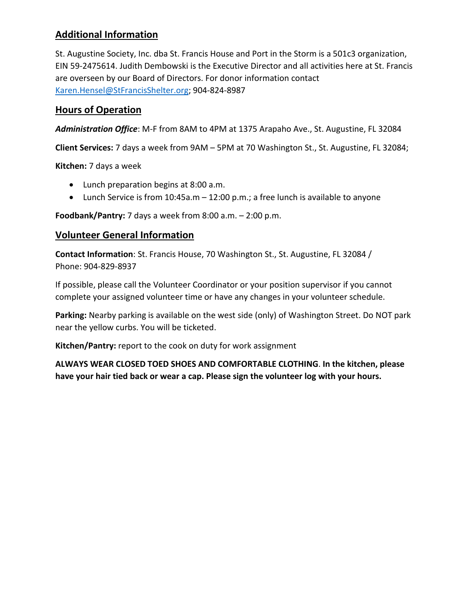# **Additional Information**

St. Augustine Society, Inc. dba St. Francis House and Port in the Storm is a 501c3 organization, EIN 59-2475614. Judith Dembowski is the Executive Director and all activities here at St. Francis are overseen by our Board of Directors. For donor information contact [Karen.Hensel@StFrancisShelter.org;](mailto:Karen.Hensel@StFrancisShelter.org) 904-824-8987

## **Hours of Operation**

*Administration Office*: M-F from 8AM to 4PM at 1375 Arapaho Ave., St. Augustine, FL 32084

**Client Services:** 7 days a week from 9AM – 5PM at 70 Washington St., St. Augustine, FL 32084;

**Kitchen:** 7 days a week

- Lunch preparation begins at 8:00 a.m.
- Lunch Service is from 10:45a.m 12:00 p.m.; a free lunch is available to anyone

**Foodbank/Pantry:** 7 days a week from 8:00 a.m. – 2:00 p.m.

#### **Volunteer General Information**

**Contact Information**: St. Francis House, 70 Washington St., St. Augustine, FL 32084 / Phone: 904-829-8937

If possible, please call the Volunteer Coordinator or your position supervisor if you cannot complete your assigned volunteer time or have any changes in your volunteer schedule.

**Parking:** Nearby parking is available on the west side (only) of Washington Street. Do NOT park near the yellow curbs. You will be ticketed.

**Kitchen/Pantry:** report to the cook on duty for work assignment

**ALWAYS WEAR CLOSED TOED SHOES AND COMFORTABLE CLOTHING**. **In the kitchen, please have your hair tied back or wear a cap. Please sign the volunteer log with your hours.**